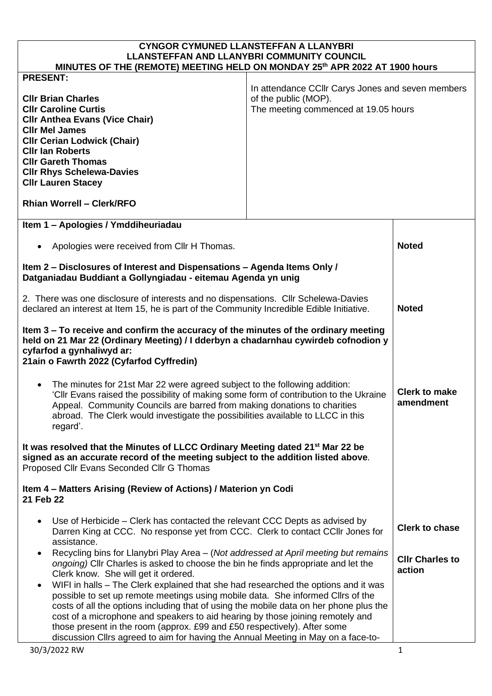| <b>CYNGOR CYMUNED LLANSTEFFAN A LLANYBRI</b><br><b>LLANSTEFFAN AND LLANYBRI COMMUNITY COUNCIL</b><br>MINUTES OF THE (REMOTE) MEETING HELD ON MONDAY 25th APR 2022 AT 1900 hours                                                                                                                                                                                                                                                                                                                                                 |                                                                                                                   |                                   |  |
|---------------------------------------------------------------------------------------------------------------------------------------------------------------------------------------------------------------------------------------------------------------------------------------------------------------------------------------------------------------------------------------------------------------------------------------------------------------------------------------------------------------------------------|-------------------------------------------------------------------------------------------------------------------|-----------------------------------|--|
|                                                                                                                                                                                                                                                                                                                                                                                                                                                                                                                                 |                                                                                                                   |                                   |  |
| <b>PRESENT:</b><br><b>CIIr Brian Charles</b><br><b>CIIr Caroline Curtis</b><br><b>CIIr Anthea Evans (Vice Chair)</b><br><b>CIIr Mel James</b><br><b>CIIr Cerian Lodwick (Chair)</b><br><b>Cllr Ian Roberts</b><br><b>CIIr Gareth Thomas</b><br><b>CIIr Rhys Schelewa-Davies</b><br><b>CIIr Lauren Stacey</b><br><b>Rhian Worrell - Clerk/RFO</b>                                                                                                                                                                                | In attendance CCIIr Carys Jones and seven members<br>of the public (MOP).<br>The meeting commenced at 19.05 hours |                                   |  |
| Item 1 - Apologies / Ymddiheuriadau                                                                                                                                                                                                                                                                                                                                                                                                                                                                                             |                                                                                                                   |                                   |  |
| Apologies were received from Cllr H Thomas.<br>$\bullet$                                                                                                                                                                                                                                                                                                                                                                                                                                                                        |                                                                                                                   | <b>Noted</b>                      |  |
| Item 2 - Disclosures of Interest and Dispensations - Agenda Items Only /<br>Datganiadau Buddiant a Gollyngiadau - eitemau Agenda yn unig                                                                                                                                                                                                                                                                                                                                                                                        |                                                                                                                   |                                   |  |
| 2. There was one disclosure of interests and no dispensations. Cllr Schelewa-Davies<br>declared an interest at Item 15, he is part of the Community Incredible Edible Initiative.                                                                                                                                                                                                                                                                                                                                               |                                                                                                                   | <b>Noted</b>                      |  |
| Item 3 - To receive and confirm the accuracy of the minutes of the ordinary meeting<br>held on 21 Mar 22 (Ordinary Meeting) / I dderbyn a chadarnhau cywirdeb cofnodion y<br>cyfarfod a gynhaliwyd ar:<br>21ain o Fawrth 2022 (Cyfarfod Cyffredin)                                                                                                                                                                                                                                                                              |                                                                                                                   |                                   |  |
| The minutes for 21st Mar 22 were agreed subject to the following addition:<br>$\bullet$<br>'Cllr Evans raised the possibility of making some form of contribution to the Ukraine<br>Appeal. Community Councils are barred from making donations to charities<br>abroad. The Clerk would investigate the possibilities available to LLCC in this<br>regard'.                                                                                                                                                                     |                                                                                                                   | <b>Clerk to make</b><br>amendment |  |
| It was resolved that the Minutes of LLCC Ordinary Meeting dated 21 <sup>st</sup> Mar 22 be<br>signed as an accurate record of the meeting subject to the addition listed above.<br>Proposed Cllr Evans Seconded Cllr G Thomas                                                                                                                                                                                                                                                                                                   |                                                                                                                   |                                   |  |
| Item 4 – Matters Arising (Review of Actions) / Materion yn Codi<br>21 Feb 22                                                                                                                                                                                                                                                                                                                                                                                                                                                    |                                                                                                                   |                                   |  |
| Use of Herbicide – Clerk has contacted the relevant CCC Depts as advised by<br>$\bullet$<br>Darren King at CCC. No response yet from CCC. Clerk to contact CCIIr Jones for<br>assistance.                                                                                                                                                                                                                                                                                                                                       |                                                                                                                   | <b>Clerk to chase</b>             |  |
| Recycling bins for Llanybri Play Area - (Not addressed at April meeting but remains<br>ongoing) Cllr Charles is asked to choose the bin he finds appropriate and let the<br>Clerk know. She will get it ordered.                                                                                                                                                                                                                                                                                                                |                                                                                                                   | <b>Cllr Charles to</b><br>action  |  |
| WIFI in halls – The Clerk explained that she had researched the options and it was<br>$\bullet$<br>possible to set up remote meetings using mobile data. She informed Cllrs of the<br>costs of all the options including that of using the mobile data on her phone plus the<br>cost of a microphone and speakers to aid hearing by those joining remotely and<br>those present in the room (approx. £99 and £50 respectively). After some<br>discussion Cllrs agreed to aim for having the Annual Meeting in May on a face-to- |                                                                                                                   |                                   |  |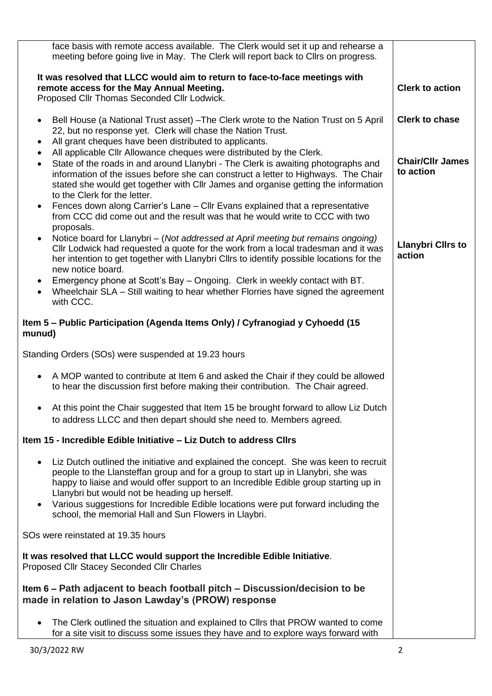| face basis with remote access available. The Clerk would set it up and rehearse a<br>meeting before going live in May. The Clerk will report back to Cllrs on progress.                                                                                                                                                                                                                                                                                                                                                                                                                     |                                      |
|---------------------------------------------------------------------------------------------------------------------------------------------------------------------------------------------------------------------------------------------------------------------------------------------------------------------------------------------------------------------------------------------------------------------------------------------------------------------------------------------------------------------------------------------------------------------------------------------|--------------------------------------|
| It was resolved that LLCC would aim to return to face-to-face meetings with<br>remote access for the May Annual Meeting.<br>Proposed Cllr Thomas Seconded Cllr Lodwick.                                                                                                                                                                                                                                                                                                                                                                                                                     | <b>Clerk to action</b>               |
| Bell House (a National Trust asset) - The Clerk wrote to the Nation Trust on 5 April<br>$\bullet$<br>22, but no response yet. Clerk will chase the Nation Trust.<br>All grant cheques have been distributed to applicants.<br>٠                                                                                                                                                                                                                                                                                                                                                             | <b>Clerk to chase</b>                |
| All applicable Cllr Allowance cheques were distributed by the Clerk.<br>$\bullet$<br>State of the roads in and around Llanybri - The Clerk is awaiting photographs and<br>$\bullet$<br>information of the issues before she can construct a letter to Highways. The Chair<br>stated she would get together with Cllr James and organise getting the information<br>to the Clerk for the letter.<br>Fences down along Carrier's Lane - Cllr Evans explained that a representative<br>$\bullet$<br>from CCC did come out and the result was that he would write to CCC with two<br>proposals. | <b>Chair/Cllr James</b><br>to action |
| Notice board for Llanybri - (Not addressed at April meeting but remains ongoing)<br>$\bullet$<br>Cllr Lodwick had requested a quote for the work from a local tradesman and it was<br>her intention to get together with Llanybri Cllrs to identify possible locations for the<br>new notice board.                                                                                                                                                                                                                                                                                         | <b>Llanybri Cllrs to</b><br>action   |
| Emergency phone at Scott's Bay – Ongoing. Clerk in weekly contact with BT.<br>Wheelchair SLA – Still waiting to hear whether Florries have signed the agreement<br>$\bullet$<br>with CCC.                                                                                                                                                                                                                                                                                                                                                                                                   |                                      |
| Item 5 – Public Participation (Agenda Items Only) / Cyfranogiad y Cyhoedd (15<br>munud)                                                                                                                                                                                                                                                                                                                                                                                                                                                                                                     |                                      |
| Standing Orders (SOs) were suspended at 19.23 hours                                                                                                                                                                                                                                                                                                                                                                                                                                                                                                                                         |                                      |
| A MOP wanted to contribute at Item 6 and asked the Chair if they could be allowed<br>to hear the discussion first before making their contribution. The Chair agreed.                                                                                                                                                                                                                                                                                                                                                                                                                       |                                      |
| • At this point the Chair suggested that Item 15 be brought forward to allow Liz Dutch<br>to address LLCC and then depart should she need to. Members agreed.                                                                                                                                                                                                                                                                                                                                                                                                                               |                                      |
| Item 15 - Incredible Edible Initiative – Liz Dutch to address Clirs                                                                                                                                                                                                                                                                                                                                                                                                                                                                                                                         |                                      |
| Liz Dutch outlined the initiative and explained the concept. She was keen to recruit<br>people to the Llansteffan group and for a group to start up in Llanybri, she was<br>happy to liaise and would offer support to an Incredible Edible group starting up in<br>Llanybri but would not be heading up herself.<br>Various suggestions for Incredible Edible locations were put forward including the<br>$\bullet$<br>school, the memorial Hall and Sun Flowers in Llaybri.                                                                                                               |                                      |
| SOs were reinstated at 19.35 hours                                                                                                                                                                                                                                                                                                                                                                                                                                                                                                                                                          |                                      |
| It was resolved that LLCC would support the Incredible Edible Initiative.<br>Proposed Cllr Stacey Seconded Cllr Charles                                                                                                                                                                                                                                                                                                                                                                                                                                                                     |                                      |
| Item 6 – Path adjacent to beach football pitch – Discussion/decision to be<br>made in relation to Jason Lawday's (PROW) response                                                                                                                                                                                                                                                                                                                                                                                                                                                            |                                      |
| The Clerk outlined the situation and explained to Cllrs that PROW wanted to come<br>for a site visit to discuss some issues they have and to explore ways forward with                                                                                                                                                                                                                                                                                                                                                                                                                      |                                      |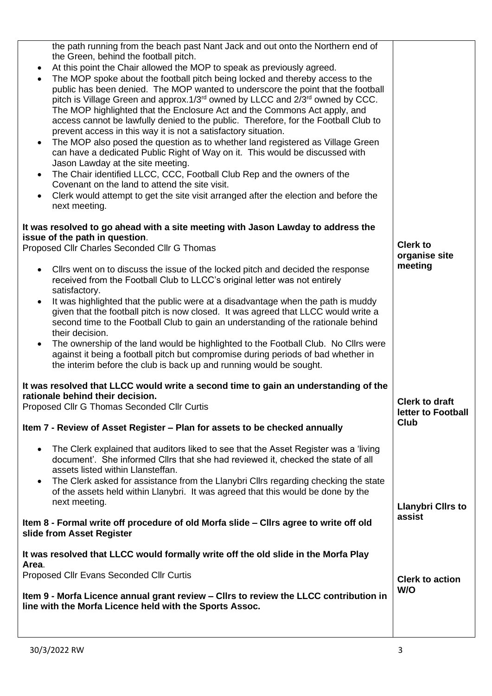| the path running from the beach past Nant Jack and out onto the Northern end of<br>the Green, behind the football pitch.<br>At this point the Chair allowed the MOP to speak as previously agreed.<br>$\bullet$<br>The MOP spoke about the football pitch being locked and thereby access to the<br>$\bullet$<br>public has been denied. The MOP wanted to underscore the point that the football<br>pitch is Village Green and approx.1/3 <sup>rd</sup> owned by LLCC and 2/3 <sup>rd</sup> owned by CCC.<br>The MOP highlighted that the Enclosure Act and the Commons Act apply, and<br>access cannot be lawfully denied to the public. Therefore, for the Football Club to<br>prevent access in this way it is not a satisfactory situation.<br>The MOP also posed the question as to whether land registered as Village Green<br>$\bullet$<br>can have a dedicated Public Right of Way on it. This would be discussed with<br>Jason Lawday at the site meeting.<br>The Chair identified LLCC, CCC, Football Club Rep and the owners of the<br>$\bullet$<br>Covenant on the land to attend the site visit.<br>Clerk would attempt to get the site visit arranged after the election and before the<br>next meeting.<br>It was resolved to go ahead with a site meeting with Jason Lawday to address the<br>issue of the path in question. |                                             |
|-----------------------------------------------------------------------------------------------------------------------------------------------------------------------------------------------------------------------------------------------------------------------------------------------------------------------------------------------------------------------------------------------------------------------------------------------------------------------------------------------------------------------------------------------------------------------------------------------------------------------------------------------------------------------------------------------------------------------------------------------------------------------------------------------------------------------------------------------------------------------------------------------------------------------------------------------------------------------------------------------------------------------------------------------------------------------------------------------------------------------------------------------------------------------------------------------------------------------------------------------------------------------------------------------------------------------------------------------|---------------------------------------------|
| Proposed Cllr Charles Seconded Cllr G Thomas                                                                                                                                                                                                                                                                                                                                                                                                                                                                                                                                                                                                                                                                                                                                                                                                                                                                                                                                                                                                                                                                                                                                                                                                                                                                                                  | <b>Clerk to</b>                             |
|                                                                                                                                                                                                                                                                                                                                                                                                                                                                                                                                                                                                                                                                                                                                                                                                                                                                                                                                                                                                                                                                                                                                                                                                                                                                                                                                               | organise site                               |
| Cllrs went on to discuss the issue of the locked pitch and decided the response<br>$\bullet$<br>received from the Football Club to LLCC's original letter was not entirely<br>satisfactory.                                                                                                                                                                                                                                                                                                                                                                                                                                                                                                                                                                                                                                                                                                                                                                                                                                                                                                                                                                                                                                                                                                                                                   | meeting                                     |
| It was highlighted that the public were at a disadvantage when the path is muddy<br>$\bullet$<br>given that the football pitch is now closed. It was agreed that LLCC would write a<br>second time to the Football Club to gain an understanding of the rationale behind<br>their decision.                                                                                                                                                                                                                                                                                                                                                                                                                                                                                                                                                                                                                                                                                                                                                                                                                                                                                                                                                                                                                                                   |                                             |
| The ownership of the land would be highlighted to the Football Club. No Clirs were<br>$\bullet$<br>against it being a football pitch but compromise during periods of bad whether in<br>the interim before the club is back up and running would be sought.                                                                                                                                                                                                                                                                                                                                                                                                                                                                                                                                                                                                                                                                                                                                                                                                                                                                                                                                                                                                                                                                                   |                                             |
| It was resolved that LLCC would write a second time to gain an understanding of the<br>rationale behind their decision.                                                                                                                                                                                                                                                                                                                                                                                                                                                                                                                                                                                                                                                                                                                                                                                                                                                                                                                                                                                                                                                                                                                                                                                                                       |                                             |
| Proposed Cllr G Thomas Seconded Cllr Curtis                                                                                                                                                                                                                                                                                                                                                                                                                                                                                                                                                                                                                                                                                                                                                                                                                                                                                                                                                                                                                                                                                                                                                                                                                                                                                                   | <b>Clerk to draft</b><br>letter to Football |
| Item 7 - Review of Asset Register – Plan for assets to be checked annually                                                                                                                                                                                                                                                                                                                                                                                                                                                                                                                                                                                                                                                                                                                                                                                                                                                                                                                                                                                                                                                                                                                                                                                                                                                                    | <b>Club</b>                                 |
| The Clerk explained that auditors liked to see that the Asset Register was a 'living<br>$\bullet$<br>document'. She informed Cllrs that she had reviewed it, checked the state of all<br>assets listed within Llansteffan.                                                                                                                                                                                                                                                                                                                                                                                                                                                                                                                                                                                                                                                                                                                                                                                                                                                                                                                                                                                                                                                                                                                    |                                             |
| The Clerk asked for assistance from the Llanybri Cllrs regarding checking the state<br>$\bullet$<br>of the assets held within Llanybri. It was agreed that this would be done by the<br>next meeting.                                                                                                                                                                                                                                                                                                                                                                                                                                                                                                                                                                                                                                                                                                                                                                                                                                                                                                                                                                                                                                                                                                                                         | <b>Llanybri Clirs to</b>                    |
| Item 8 - Formal write off procedure of old Morfa slide – Cllrs agree to write off old<br>slide from Asset Register                                                                                                                                                                                                                                                                                                                                                                                                                                                                                                                                                                                                                                                                                                                                                                                                                                                                                                                                                                                                                                                                                                                                                                                                                            | assist                                      |
| It was resolved that LLCC would formally write off the old slide in the Morfa Play<br>Area.                                                                                                                                                                                                                                                                                                                                                                                                                                                                                                                                                                                                                                                                                                                                                                                                                                                                                                                                                                                                                                                                                                                                                                                                                                                   |                                             |
| Proposed Cllr Evans Seconded Cllr Curtis                                                                                                                                                                                                                                                                                                                                                                                                                                                                                                                                                                                                                                                                                                                                                                                                                                                                                                                                                                                                                                                                                                                                                                                                                                                                                                      | <b>Clerk to action</b>                      |
| Item 9 - Morfa Licence annual grant review – Cllrs to review the LLCC contribution in<br>line with the Morfa Licence held with the Sports Assoc.                                                                                                                                                                                                                                                                                                                                                                                                                                                                                                                                                                                                                                                                                                                                                                                                                                                                                                                                                                                                                                                                                                                                                                                              | W/O                                         |
|                                                                                                                                                                                                                                                                                                                                                                                                                                                                                                                                                                                                                                                                                                                                                                                                                                                                                                                                                                                                                                                                                                                                                                                                                                                                                                                                               |                                             |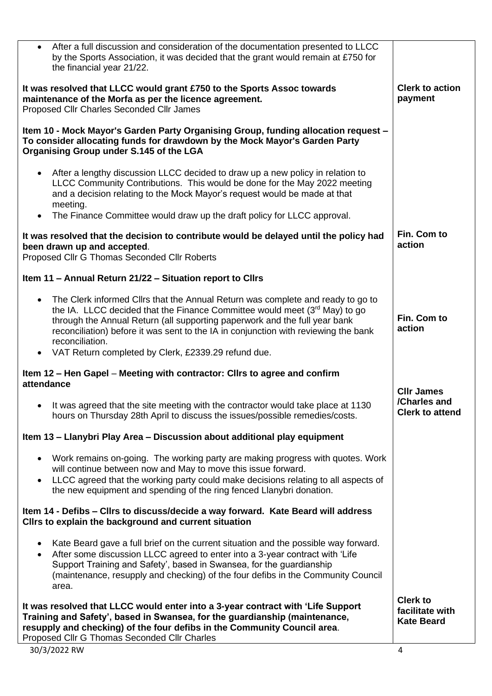| After a full discussion and consideration of the documentation presented to LLCC<br>$\bullet$<br>by the Sports Association, it was decided that the grant would remain at £750 for<br>the financial year 21/22.                                                                                                                                                    |                                                         |
|--------------------------------------------------------------------------------------------------------------------------------------------------------------------------------------------------------------------------------------------------------------------------------------------------------------------------------------------------------------------|---------------------------------------------------------|
| It was resolved that LLCC would grant £750 to the Sports Assoc towards<br>maintenance of the Morfa as per the licence agreement.<br>Proposed Cllr Charles Seconded Cllr James                                                                                                                                                                                      | <b>Clerk to action</b><br>payment                       |
| Item 10 - Mock Mayor's Garden Party Organising Group, funding allocation request -<br>To consider allocating funds for drawdown by the Mock Mayor's Garden Party<br>Organising Group under S.145 of the LGA                                                                                                                                                        |                                                         |
| After a lengthy discussion LLCC decided to draw up a new policy in relation to<br>$\bullet$<br>LLCC Community Contributions. This would be done for the May 2022 meeting<br>and a decision relating to the Mock Mayor's request would be made at that<br>meeting.                                                                                                  |                                                         |
| The Finance Committee would draw up the draft policy for LLCC approval.                                                                                                                                                                                                                                                                                            |                                                         |
| It was resolved that the decision to contribute would be delayed until the policy had<br>been drawn up and accepted.<br>Proposed Cllr G Thomas Seconded Cllr Roberts                                                                                                                                                                                               | Fin. Com to<br>action                                   |
| Item 11 - Annual Return 21/22 - Situation report to Cllrs                                                                                                                                                                                                                                                                                                          |                                                         |
| The Clerk informed Cllrs that the Annual Return was complete and ready to go to<br>$\bullet$<br>the IA. LLCC decided that the Finance Committee would meet (3rd May) to go<br>through the Annual Return (all supporting paperwork and the full year bank<br>reconciliation) before it was sent to the IA in conjunction with reviewing the bank<br>reconciliation. | Fin. Com to<br>action                                   |
| • VAT Return completed by Clerk, £2339.29 refund due.                                                                                                                                                                                                                                                                                                              |                                                         |
| Item 12 – Hen Gapel – Meeting with contractor: Clirs to agree and confirm<br>attendance                                                                                                                                                                                                                                                                            | <b>CIIr James</b>                                       |
| It was agreed that the site meeting with the contractor would take place at 1130<br>hours on Thursday 28th April to discuss the issues/possible remedies/costs.                                                                                                                                                                                                    | /Charles and<br><b>Clerk to attend</b>                  |
| Item 13 – Llanybri Play Area – Discussion about additional play equipment                                                                                                                                                                                                                                                                                          |                                                         |
| Work remains on-going. The working party are making progress with quotes. Work<br>$\bullet$<br>will continue between now and May to move this issue forward.<br>LLCC agreed that the working party could make decisions relating to all aspects of<br>$\bullet$<br>the new equipment and spending of the ring fenced Llanybri donation.                            |                                                         |
| Item 14 - Defibs - Cllrs to discuss/decide a way forward. Kate Beard will address<br>Cllrs to explain the background and current situation                                                                                                                                                                                                                         |                                                         |
| Kate Beard gave a full brief on the current situation and the possible way forward.<br>$\bullet$<br>After some discussion LLCC agreed to enter into a 3-year contract with 'Life<br>$\bullet$<br>Support Training and Safety', based in Swansea, for the guardianship<br>(maintenance, resupply and checking) of the four defibs in the Community Council<br>area. |                                                         |
| It was resolved that LLCC would enter into a 3-year contract with 'Life Support<br>Training and Safety', based in Swansea, for the guardianship (maintenance,<br>resupply and checking) of the four defibs in the Community Council area.<br>Proposed Cllr G Thomas Seconded Cllr Charles                                                                          | <b>Clerk to</b><br>facilitate with<br><b>Kate Beard</b> |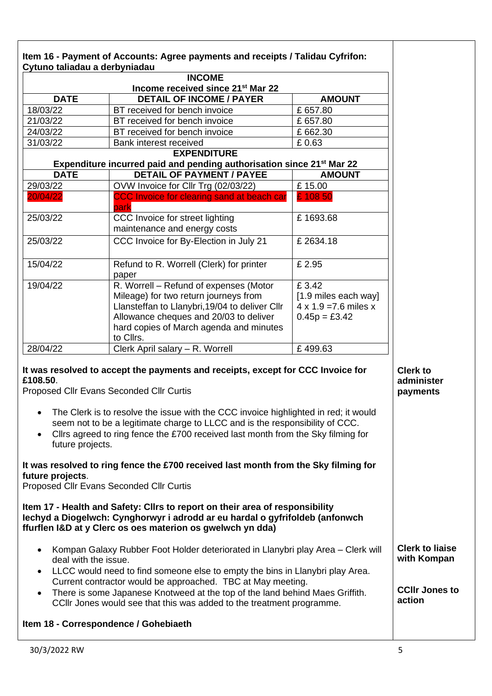| <b>DATE</b>                                                                | Income received since 21 <sup>st</sup> Mar 22                                                                                                                                                                                                                                                                                                                                                                                                                                                                             |                                                                                  |                                           |
|----------------------------------------------------------------------------|---------------------------------------------------------------------------------------------------------------------------------------------------------------------------------------------------------------------------------------------------------------------------------------------------------------------------------------------------------------------------------------------------------------------------------------------------------------------------------------------------------------------------|----------------------------------------------------------------------------------|-------------------------------------------|
|                                                                            |                                                                                                                                                                                                                                                                                                                                                                                                                                                                                                                           |                                                                                  |                                           |
|                                                                            | <b>DETAIL OF INCOME / PAYER</b>                                                                                                                                                                                                                                                                                                                                                                                                                                                                                           | <b>AMOUNT</b>                                                                    |                                           |
| 18/03/22                                                                   | BT received for bench invoice                                                                                                                                                                                                                                                                                                                                                                                                                                                                                             | £657.80                                                                          |                                           |
| 21/03/22                                                                   | BT received for bench invoice                                                                                                                                                                                                                                                                                                                                                                                                                                                                                             | £657.80                                                                          |                                           |
| 24/03/22                                                                   | BT received for bench invoice                                                                                                                                                                                                                                                                                                                                                                                                                                                                                             | £662.30                                                                          |                                           |
| 31/03/22                                                                   | Bank interest received                                                                                                                                                                                                                                                                                                                                                                                                                                                                                                    | £0.63                                                                            |                                           |
|                                                                            | <b>EXPENDITURE</b>                                                                                                                                                                                                                                                                                                                                                                                                                                                                                                        |                                                                                  |                                           |
|                                                                            | Expenditure incurred paid and pending authorisation since 21 <sup>st</sup> Mar 22                                                                                                                                                                                                                                                                                                                                                                                                                                         |                                                                                  |                                           |
| <b>DATE</b>                                                                | <b>DETAIL OF PAYMENT / PAYEE</b>                                                                                                                                                                                                                                                                                                                                                                                                                                                                                          | <b>AMOUNT</b>                                                                    |                                           |
| 29/03/22                                                                   | OVW Invoice for Cllr Trg (02/03/22)                                                                                                                                                                                                                                                                                                                                                                                                                                                                                       | £15.00                                                                           |                                           |
| 20/04/22                                                                   | CCC Invoice for clearing sand at beach car<br>park                                                                                                                                                                                                                                                                                                                                                                                                                                                                        | £ 108 50                                                                         |                                           |
| 25/03/22                                                                   | CCC Invoice for street lighting<br>maintenance and energy costs                                                                                                                                                                                                                                                                                                                                                                                                                                                           | £1693.68                                                                         |                                           |
| 25/03/22                                                                   | CCC Invoice for By-Election in July 21                                                                                                                                                                                                                                                                                                                                                                                                                                                                                    | £2634.18                                                                         |                                           |
| 15/04/22                                                                   | Refund to R. Worrell (Clerk) for printer<br>paper                                                                                                                                                                                                                                                                                                                                                                                                                                                                         | £ 2.95                                                                           |                                           |
| 19/04/22                                                                   | R. Worrell - Refund of expenses (Motor<br>Mileage) for two return journeys from<br>Llansteffan to Llanybri, 19/04 to deliver Cllr<br>Allowance cheques and 20/03 to deliver<br>hard copies of March agenda and minutes<br>to Cllrs.                                                                                                                                                                                                                                                                                       | £3.42<br>[1.9 miles each way]<br>$4 \times 1.9 = 7.6$ miles x<br>$0.45p = £3.42$ |                                           |
| 28/04/22                                                                   | Clerk April salary - R. Worrell                                                                                                                                                                                                                                                                                                                                                                                                                                                                                           | £499.63                                                                          |                                           |
| £108.50.<br>$\bullet$<br>$\bullet$<br>future projects.<br>future projects. | It was resolved to accept the payments and receipts, except for CCC Invoice for<br>Proposed Cllr Evans Seconded Cllr Curtis<br>The Clerk is to resolve the issue with the CCC invoice highlighted in red; it would<br>seem not to be a legitimate charge to LLCC and is the responsibility of CCC.<br>Cllrs agreed to ring fence the £700 received last month from the Sky filming for<br>It was resolved to ring fence the £700 received last month from the Sky filming for<br>Proposed Cllr Evans Seconded Cllr Curtis |                                                                                  | <b>Clerk to</b><br>administer<br>payments |
|                                                                            | Item 17 - Health and Safety: Clirs to report on their area of responsibility<br>lechyd a Diogelwch: Cynghorwyr i adrodd ar eu hardal o gyfrifoldeb (anfonwch<br>ffurflen I&D at y Clerc os oes materion os gwelwch yn dda)                                                                                                                                                                                                                                                                                                |                                                                                  |                                           |
| $\bullet$                                                                  | Kompan Galaxy Rubber Foot Holder deteriorated in Llanybri play Area - Clerk will<br>deal with the issue.                                                                                                                                                                                                                                                                                                                                                                                                                  | LLCC would need to find someone else to empty the bins in Llanybri play Area.    | <b>Clerk to liaise</b><br>with Kompan     |